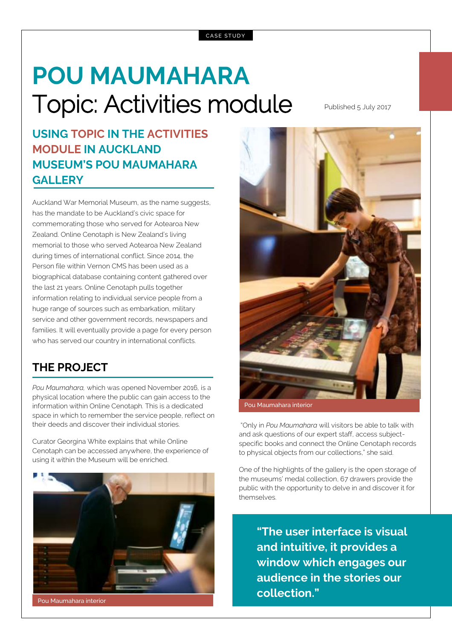# **POU MAUMAHARA** Topic: Activities module Published 5 July 2017

### **USING TOPIC IN THE ACTIVITIES MODULE IN AUCKLAND MUSEUM'S POU MAUMAHARA GALLERY**

Auckland War Memorial Museum, as the name suggests, has the mandate to be Auckland's civic space for commemorating those who served for Aotearoa New Zealand. Online Cenotaph is New Zealand's living memorial to those who served Aotearoa New Zealand during times of international conflict. Since 2014, the Person file within Vernon CMS has been used as a biographical database containing content gathered over the last 21 years. Online Cenotaph pulls together information relating to individual service people from a huge range of sources such as embarkation, military service and other government records, newspapers and families. It will eventually provide a page for every person who has served our country in international conflicts.

#### **THE PROJECT**

*Pou Maumahara,* which was opened November 2016*,* is a physical location where the public can gain access to the information within Online Cenotaph. This is a dedicated space in which to remember the service people, reflect on their deeds and discover their individual stories.

Curator Georgina White explains that while Online Cenotaph can be accessed anywhere, the experience of using it within the Museum will be enriched.



Pou Maumahara interior



Pou Maumahara interior

"Only in *Pou Maumahara* will visitors be able to talk with and ask questions of our expert staff, access subjectspecific books and connect the Online Cenotaph records to physical objects from our collections," she said.

One of the highlights of the gallery is the open storage of the museums' medal collection, 67 drawers provide the public with the opportunity to delve in and discover it for themselves.

**"The user interface is visual and intuitive, it provides a window which engages our audience in the stories our collection."**